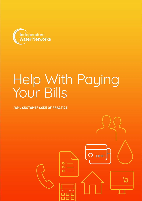

# Help With Paying Your Bills

**IWNL CUSTOMER CODE OF PRACTICE**

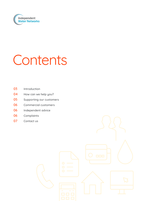

# Contents

- Introduction
- 04 How can we help you?
- Supporting our customers
- Commercial customers
- 06 Independent advice
- Complaints
- Contact us

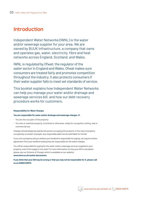# **Introduction**

Independent Water Networks (IWNL) is the water and/or sewerage supplier for your area. We are owned by BUUK Infrastructure, a company that owns and operates gas, water, electricity, fibre and heat networks across England, Scotland, and Wales.

IWNL is regulated by Ofwat; the regulator of the water sector in England and Wales. Ofwat makes sure consumers are treated fairly and promotes competition throughout the industry. It also protects consumers if their water supplier fails to meet set standards of service.

This booklet explains how Independent Water Networks can help you manage your water and/or drainage and sewerage services bill, and how our debt recovery procedure works for customers.

## **Responsibility for Water Charges**

## **You are responsible for water and/or drainage and sewerage charges, if:**

- You are the occupier of the property
- You own or maintain property, furnished or otherwise, ready for occupation, letting, sale or commercial use

Charges should always be paid by the person occupying the property. In the case of property occupied by a number of people, any responsible adult can be held liable for the bill.

If you rent a property and you believe your landlord is responsible for paying, we require written agreement from your landlord stating they are responsible for the water charges.

You will be responsible for paying for the water and/or sewerage services supplied to your property, even if the supply is not used. For more information on how your bill is calculated, please see our Scheme of Charges which is available on our website:

## **www.iwnl.co.uk/useful-documents**

**If you think that your bill may be wrong or that you may not be responsible for it, please call us on 02920 028711.**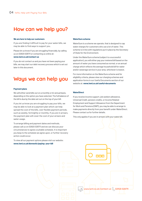## **How can we help you?**

#### **We are here to help our customers**

If you are finding it difficult to pay for your water bills, we may be able to find ways to support you.

Please let us know if you are struggling financially, by calling us on 02920 028711 or contacting us online at:

## **www.iwnl.co.uk/contact-us**

If you do not contact us and you have not been paying your bills, we may start our debt recovery process which is set out later in this document.

# **Ways we can help you**

#### **Payment plans**

We will either send bills out on a monthly or bi-annual basis, depending on the option you have selected. The full balance of the bill is due by the date set out on the top of your bill.

If you let us know you are struggling to pay your bills, we may be able to look at a payment plan which can help spread the cost of the bills, over flexible payment periods, such as weekly, fortnightly or monthly. If you are in arrears, the payment plan will cover the cost of your arrears and water usage.

To arrange billing and payment dates and methods, please call us on 02920 028711 and we can discuss your circumstances to agree a suitable schedule. It is important you keep to the schedule we agree upon, or further recovery action could occur.

To view all our payment options please visit our website: **www.iwnl.co.uk/domestic/paying- your-bill**

### **WaterSure scheme**

WaterSure is a scheme we operate, that is designed to cap water charges for customers who use a lot of water. This scheme is in line with regulations put in place by the Secretary of State for the Environment.

Under the WaterSure scheme (subject to a successful application), you will either pay your metered bill based on the amount of water you have consumed as normal, or an annual charge which reflects the average household bill for water and/or sewerage service in your area, whichever is lowest.

For more information on the WaterSure scheme and for eligibility criteria, please view our charging schemes and application forms in our Useful Documents section of our website at: **www.iwnl.co.uk/useful-documents**

## **WaterDirect**

If you receive income support, job seekers allowance, Universal Credit, pension credits, or Income Related Employment and Support Allowance from the Department for Work and Pensions (DWP), you may be able to arrange to make payments directly from your benefit under WaterDirect. Please contact us for further details.

This only applies if you are in arrears with your water bill.



www.iwnl.co.uk/contact-us  $\left\langle \right\rangle$  02920 028711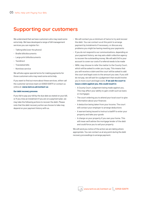## **Supporting our customers**

We understand that we have customers who may need some extra help. We have developed a range of bill management services you can register for:

- Talking bills (over the phone)
- Braille bills/documents
- Large print bills/documents
- Textdirect
- Translated bills
- Nominee service

We will also agree special terms for making payments for those customers who may need some extra help.

If you want to find out more about these services, either call the customer services team on 02920 028711 or contact us online at: **www.iwnl.co.uk/contact-us**

### **Our debt recovery process**

If you fail to pay your bill by the due date as stated on your bill, or if you miss an instalment if you are on a payment plan, we may take the following actions to recover the debt. Please note that the debt recovery action we choose to take may depend on your payment history with us.

- We will contact you a minimum of twice to try and recover the debt. You can contact us at this point to arrange payment by instalments if necessary, or discuss any problems you might be having meeting your payments
- If you do not respond to our communications, depending on your payment history, we may ask a debt collection agency to recover the outstanding money. We will add £40 to your account to cover our costs if a referral needs to be made
- IWNL may choose to refer the matter to the County Court, which will be asked to order you to pay. This means that you will receive a claim and the court will be asked to add the court and legal costs to the amount you owe. If you still do not pay, we will ask for a judgement that would involve you in more court and legal costs. **If we ask the court to issue a claim against you, this could result in:**
	- A County Court Judgement being made against you. This may affect your ability to gain credit such as loans or mortgages
	- The court ordering you to attend your local court to give information about your finances
	- A deduction being taken from your income. The court will contact your employer to arrange deductions
	- A warrant being issued to instruct a bailiff to enter your property and take your goods
	- A charge on your property if you own your home. This will mean we'll advise the mortgage lender of the debt and could force you to sell your property

We will send you notice of the action we are taking where appropriate. You can contact us at any point during the debt recovery proceedings to arrange payment.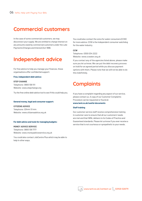## **Commercial customers**

In the case of some commercial customers, we may disconnect your supply. We are entitled to charge interest on any amounts owed by commercial customers under the Late Payments (Charges and Interest) Act 1998.

# **Independent advice**

For free advice to help you manage your finances, these organisations offer confidential support:

## **Free, independent debt advice:**

**STEP CHANGE**

Telephone: 0800 138 1111 Website: www.stepchange.org

Try the free online debt advice tool to see if this could help you.

## **General money, legal and consumer support:**

**CITIZENS ADVICE** Telephone: 03444 111 444 Website: www.citizensadvice.org.uk

## **For debt advice and tools for managing budgets:**

**MONEY ADVICE SERVICE** Telephone: 0800 138 7777 Website: www.moneyadviceservice.org.uk

You could also contact JobCentre Plus which may be able to help in other ways.

You could also contact the voice for water consumers (CCW) for more advice. CCW is the independent consumer watchdog for the water industry.

## **CCW**

Telephone: 0300 034 2222 Website: www.ccwater.org.uk

If you contact any of the agencies listed above, please make sure you let us know. We can put the debt recovery process on hold for an agreed period while you discuss payment options with them. Please note that we will not be able to do this indefinitely.

# **Complaints**

If you have a complaint regarding any aspect of our service, please contact us. A copy of our Customer Complaints Procedure can be requested or found at: **www.iwnl.co.uk/useful-documents**

## **Staff training**

Our customer service staff receive comprehensive training in customer care to ensure that all our customers' needs are met and that IWNL delivers to its Codes of Practice and Guaranteed standards. Please let us know if you ever receive a service that is not courteous or sympathetic to your needs.